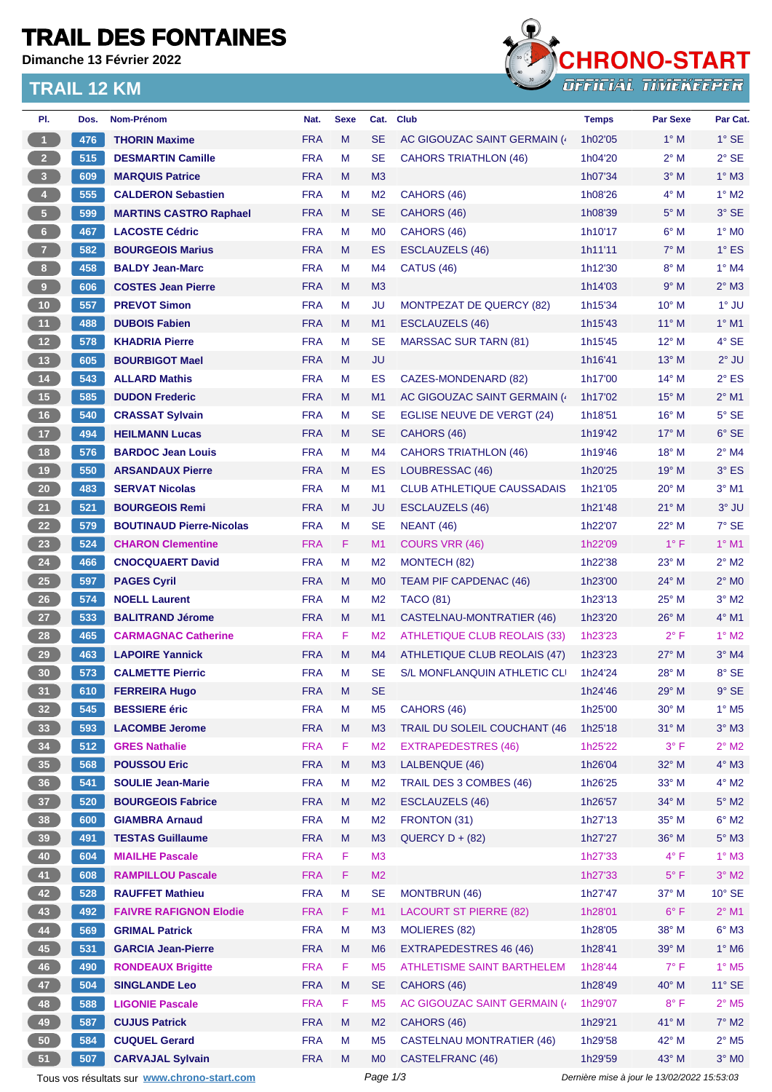# **TRAIL DES FONTAINES**

**Dimanche 13 Février 2022**

### **TRAIL 12 KM**



| PI.             | Dos.       | Nom-Prénom                                  | Nat.                     | <b>Sexe</b> | Cat.            | <b>Club</b>                         | <b>Temps</b>                                | Par Sexe       | Par Cat.                   |
|-----------------|------------|---------------------------------------------|--------------------------|-------------|-----------------|-------------------------------------|---------------------------------------------|----------------|----------------------------|
| $\bf \Phi$      | 476        | <b>THORIN Maxime</b>                        | <b>FRA</b>               | M           | <b>SE</b>       | AC GIGOUZAC SAINT GERMAIN (         | 1h02'05                                     | $1^\circ$ M    | $1^\circ$ SE               |
| 2 <sup>2</sup>  | 515        | <b>DESMARTIN Camille</b>                    | <b>FRA</b>               | M           | <b>SE</b>       | <b>CAHORS TRIATHLON (46)</b>        | 1h04'20                                     | $2^{\circ}$ M  | $2°$ SE                    |
| 3 <sup>°</sup>  | 609        | <b>MARQUIS Patrice</b>                      | <b>FRA</b>               | M           | M <sub>3</sub>  |                                     | 1h07'34                                     | $3^\circ$ M    | $1^\circ$ M3               |
| $\vert 4 \vert$ | 555        | <b>CALDERON Sebastien</b>                   | <b>FRA</b>               | M           | M <sub>2</sub>  | CAHORS (46)                         | 1h08'26                                     | $4^\circ$ M    | $1^\circ$ M2               |
| 5 <sub>1</sub>  | 599        | <b>MARTINS CASTRO Raphael</b>               | <b>FRA</b>               | M           | <b>SE</b>       | CAHORS (46)                         | 1h08'39                                     | $5^\circ$ M    | 3° SE                      |
| $6\phantom{.}$  | 467        | <b>LACOSTE Cédric</b>                       | <b>FRA</b>               | М           | M <sub>0</sub>  | CAHORS (46)                         | 1h10'17                                     | $6^\circ$ M    | $1^\circ$ MO               |
| $\overline{7}$  | 582        | <b>BOURGEOIS Marius</b>                     | <b>FRA</b>               | M           | ES              | <b>ESCLAUZELS (46)</b>              | 1h11'11                                     | $7^\circ$ M    | $1^\circ$ ES               |
| 8 <sub>1</sub>  | 458        | <b>BALDY Jean-Marc</b>                      | <b>FRA</b>               | M           | M4              | CATUS (46)                          | 1h12'30                                     | $8^\circ$ M    | $1^\circ$ M4               |
| $\overline{9}$  | 606        | <b>COSTES Jean Pierre</b>                   | <b>FRA</b>               | M           | M <sub>3</sub>  |                                     | 1h14'03                                     | 9° M           | $2^{\circ}$ M3             |
| 10 <sub>1</sub> | 557        | <b>PREVOT Simon</b>                         | <b>FRA</b>               | M           | <b>JU</b>       | MONTPEZAT DE QUERCY (82)            | 1h15'34                                     | $10^{\circ}$ M | 1° JU                      |
| 11 <sub>1</sub> | 488        | <b>DUBOIS Fabien</b>                        | <b>FRA</b>               | M           | M <sub>1</sub>  | <b>ESCLAUZELS (46)</b>              | 1h15'43                                     | $11^{\circ}$ M | $1^\circ$ M1               |
| 12              | 578        | <b>KHADRIA Pierre</b>                       | <b>FRA</b>               | M           | <b>SE</b>       | <b>MARSSAC SUR TARN (81)</b>        | 1h15'45                                     | 12° M          | $4°$ SE                    |
| 13              | 605        | <b>BOURBIGOT Mael</b>                       | <b>FRA</b>               | M           | JU              |                                     | 1h16'41                                     | $13^{\circ}$ M | $2^{\circ}$ JU             |
| 14              | 543        | <b>ALLARD Mathis</b>                        | <b>FRA</b>               | М           | ES              | <b>CAZES-MONDENARD (82)</b>         | 1h17'00                                     | $14^{\circ}$ M | $2^{\circ}$ ES             |
| 15              | 585        | <b>DUDON Frederic</b>                       | <b>FRA</b>               | M           | M <sub>1</sub>  | AC GIGOUZAC SAINT GERMAIN (         | 1h17'02                                     | $15^{\circ}$ M | $2^{\circ}$ M1             |
| 16              | 540        | <b>CRASSAT Sylvain</b>                      | <b>FRA</b>               | M           | <b>SE</b>       | EGLISE NEUVE DE VERGT (24)          | 1h18'51                                     | $16^{\circ}$ M | $5^\circ$ SE               |
| 17              | 494        | <b>HEILMANN Lucas</b>                       | <b>FRA</b>               | М           | <b>SE</b>       | CAHORS (46)                         | 1h19'42                                     | $17^{\circ}$ M | $6°$ SE                    |
| 18              | 576        | <b>BARDOC Jean Louis</b>                    | <b>FRA</b>               | M           | M4              | <b>CAHORS TRIATHLON (46)</b>        | 1h19'46                                     | 18° M          | $2^{\circ}$ M4             |
| 19              | 550        | <b>ARSANDAUX Pierre</b>                     | <b>FRA</b>               | M           | ES              | LOUBRESSAC (46)                     | 1h20'25                                     | $19°$ M        | $3°$ ES                    |
| 20              | 483        | <b>SERVAT Nicolas</b>                       | <b>FRA</b>               | м           | M <sub>1</sub>  | <b>CLUB ATHLETIQUE CAUSSADAIS</b>   | 1h21'05                                     | $20^{\circ}$ M | $3^\circ$ M1               |
| 21              | 521        | <b>BOURGEOIS Remi</b>                       | <b>FRA</b>               | M           | <b>JU</b>       | <b>ESCLAUZELS (46)</b>              | 1h21'48                                     | $21^{\circ}$ M | 3° JU                      |
| 22              | 579        | <b>BOUTINAUD Pierre-Nicolas</b>             | <b>FRA</b>               | М           | <b>SE</b>       | <b>NEANT (46)</b>                   | 1h22'07                                     | 22° M          | $7^\circ$ SE               |
| 23              | 524        | <b>CHARON Clementine</b>                    | <b>FRA</b>               | F           | M1              | <b>COURS VRR (46)</b>               | 1h22'09                                     | $1^{\circ}$ F  | $1°$ M1                    |
| 24              | 466        | <b>CNOCQUAERT David</b>                     | <b>FRA</b>               | м           | M <sub>2</sub>  | MONTECH (82)                        | 1h22'38                                     | $23^\circ$ M   | $2^{\circ}$ M2             |
| 25              | 597        | <b>PAGES Cyril</b>                          | <b>FRA</b>               | M           | M <sub>0</sub>  | TEAM PIF CAPDENAC (46)              | 1h23'00                                     | 24° M          | $2^\circ$ MO               |
| 26              | 574        | <b>NOELL Laurent</b>                        | <b>FRA</b>               | М           | M <sub>2</sub>  | <b>TACO (81)</b>                    | 1h23'13                                     | $25^{\circ}$ M | $3^\circ$ M2               |
| 27              | 533        | <b>BALITRAND Jérome</b>                     | <b>FRA</b>               | M           | M1              | <b>CASTELNAU-MONTRATIER (46)</b>    |                                             | $26^{\circ}$ M | $4^\circ$ M1               |
|                 |            |                                             |                          | F.          |                 | <b>ATHLETIQUE CLUB REOLAIS (33)</b> | 1h23'20                                     |                | $1^\circ$ M2               |
| 28              | 465<br>463 | <b>CARMAGNAC Catherine</b>                  | <b>FRA</b>               |             | M <sub>2</sub>  |                                     | 1h23'23                                     | $2^{\circ}$ F  |                            |
| 29              |            | <b>LAPOIRE Yannick</b>                      | <b>FRA</b><br><b>FRA</b> | M<br>M      | M4<br><b>SE</b> | ATHLETIQUE CLUB REOLAIS (47)        | 1h23'23                                     | $27^\circ$ M   | $3°$ M4                    |
| 30              | 573        | <b>CALMETTE Pierric</b>                     |                          |             |                 | S/L MONFLANQUIN ATHLETIC CLI        | 1h24'24                                     | $28^{\circ}$ M | 8° SE                      |
| 31              | 610        | <b>FERREIRA Hugo</b>                        | <b>FRA</b>               | M           | <b>SE</b>       |                                     | 1h24'46                                     | 29° M          | $9°$ SE                    |
| 32 <sup>°</sup> | 545        | <b>BESSIERE</b> éric                        | <b>FRA</b>               | M           | M <sub>5</sub>  | CAHORS (46)                         | 1h25'00                                     | 30° M          | $1^\circ$ M <sub>5</sub>   |
| 33              | 593        | <b>LACOMBE Jerome</b>                       | <b>FRA</b>               | M           | M <sub>3</sub>  | TRAIL DU SOLEIL COUCHANT (46        | 1h25'18                                     | $31°$ M        | $3^\circ$ M3               |
| 34              | 512        | <b>GRES Nathalie</b>                        | <b>FRA</b>               | F           | M <sub>2</sub>  | <b>EXTRAPEDESTRES (46)</b>          | 1h25'22                                     | $3^{\circ}$ F  | $2^{\circ}$ M2             |
| 35              | 568        | <b>POUSSOU Eric</b>                         | <b>FRA</b>               | M           | M3              | LALBENQUE (46)                      | 1h26'04                                     | 32° M          | $4^\circ$ M3               |
| 36              | 541        | <b>SOULIE Jean-Marie</b>                    | <b>FRA</b>               | M           | M <sub>2</sub>  | TRAIL DES 3 COMBES (46)             | 1h26'25                                     | 33° M          | $4^\circ$ M2               |
| 37 <sup>°</sup> | 520        | <b>BOURGEOIS Fabrice</b>                    | <b>FRA</b>               | M           | M <sub>2</sub>  | <b>ESCLAUZELS (46)</b>              | 1h26'57                                     | 34° M          | $5^\circ$ M2               |
| 38              | 600        | <b>GIAMBRA Arnaud</b>                       | <b>FRA</b>               | M           | M <sub>2</sub>  | FRONTON (31)                        | 1h27'13                                     | 35° M          | $6^\circ$ M2               |
| 39              | 491        | <b>TESTAS Guillaume</b>                     | <b>FRA</b>               | M           | M <sub>3</sub>  | $QUERCY D + (82)$                   | 1h27'27                                     | 36° M          | $5^\circ$ M3               |
| 40              | 604        | <b>MIAILHE Pascale</b>                      | <b>FRA</b>               | F           | M3              |                                     | 1h27'33                                     | $4^{\circ}$ F  | $1^\circ$ M3               |
| 41              | 608        | <b>RAMPILLOU Pascale</b>                    | <b>FRA</b>               | F           | M <sub>2</sub>  |                                     | 1h27'33                                     | $5^{\circ}$ F  | $3^\circ$ M2               |
| 42              | 528        | <b>RAUFFET Mathieu</b>                      | <b>FRA</b>               | М           | <b>SE</b>       | <b>MONTBRUN (46)</b>                | 1h27'47                                     | 37° M          | $10^{\circ}$ SE            |
| 43              | 492        | <b>FAIVRE RAFIGNON Elodie</b>               | <b>FRA</b>               | F           | M1              | <b>LACOURT ST PIERRE (82)</b>       | 1h28'01                                     | $6^{\circ}$ F  | $2^{\circ}$ M1             |
| 44              | 569        | <b>GRIMAL Patrick</b>                       | <b>FRA</b>               | M           | M <sub>3</sub>  | <b>MOLIERES (82)</b>                | 1h28'05                                     | 38° M          | $6^\circ$ M3               |
| 45              | 531        | <b>GARCIA Jean-Pierre</b>                   | <b>FRA</b>               | M           | M <sub>6</sub>  | EXTRAPEDESTRES 46 (46)              | 1h28'41                                     | 39° M          | $1^\circ$ M6               |
| 46              | 490        | <b>RONDEAUX Brigitte</b>                    | <b>FRA</b>               | F           | M <sub>5</sub>  | <b>ATHLETISME SAINT BARTHELEM</b>   | 1h28'44                                     | $7^{\circ}$ F  | $1^\circ$ M5               |
| 47              | 504        | <b>SINGLANDE Leo</b>                        | <b>FRA</b>               | M           | <b>SE</b>       | CAHORS (46)                         | 1h28'49                                     | 40° M          | $11^{\circ}$ SE            |
| 48              | 588        | <b>LIGONIE Pascale</b>                      | <b>FRA</b>               | F           | M <sub>5</sub>  | AC GIGOUZAC SAINT GERMAIN (4        | 1h29'07                                     | $8^{\circ}$ F  | $2^{\circ}$ M <sub>5</sub> |
| 49              | 587        | <b>CUJUS Patrick</b>                        | <b>FRA</b>               | M           | M <sub>2</sub>  | CAHORS (46)                         | 1h29'21                                     | 41° M          | $7^\circ$ M2               |
| 50              | 584        | <b>CUQUEL Gerard</b>                        | <b>FRA</b>               | M           | M <sub>5</sub>  | <b>CASTELNAU MONTRATIER (46)</b>    | 1h29'58                                     | 42° M          | $2^{\circ}$ M5             |
| 51              | 507        | <b>CARVAJAL Sylvain</b>                     | <b>FRA</b>               | M           | M <sub>0</sub>  | CASTELFRANC (46)                    | 1h29'59                                     | 43° M          | $3^\circ$ MO               |
|                 |            | Tous vos résultats sur www.chrono-start.com |                          |             | Page 1/3        |                                     | Dernière mise à jour le 13/02/2022 15:53:03 |                |                            |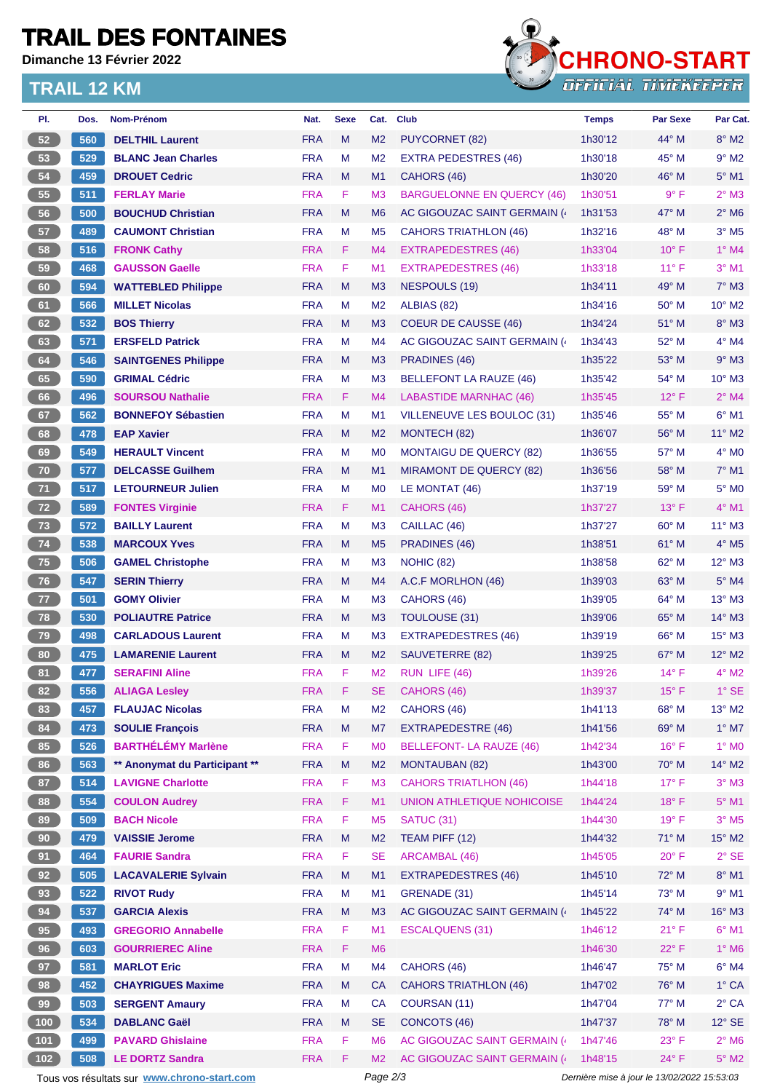### **TRAIL DES FONTAINES**

**Dimanche 13 Février 2022**

#### **TRAIL 12 KM**



| PI.    | Dos.                                                                                                   | Nom-Prénom                    | Nat.       | <b>Sexe</b> | Cat.           | <b>Club</b>                       | <b>Temps</b> | <b>Par Sexe</b> | Par Cat.                    |
|--------|--------------------------------------------------------------------------------------------------------|-------------------------------|------------|-------------|----------------|-----------------------------------|--------------|-----------------|-----------------------------|
| 52     | 560                                                                                                    | <b>DELTHIL Laurent</b>        | <b>FRA</b> | M           | M <sub>2</sub> | <b>PUYCORNET (82)</b>             | 1h30'12      | 44° M           | $8^\circ$ M2                |
| 53     | 529                                                                                                    | <b>BLANC Jean Charles</b>     | <b>FRA</b> | М           | M <sub>2</sub> | <b>EXTRA PEDESTRES (46)</b>       | 1h30'18      | $45^{\circ}$ M  | $9^{\circ}$ M2              |
| 54     | 459                                                                                                    | <b>DROUET Cedric</b>          | <b>FRA</b> | M           | M <sub>1</sub> | CAHORS (46)                       | 1h30'20      | 46° M           | $5^\circ$ M1                |
| 55     | 511                                                                                                    | <b>FERLAY Marie</b>           | <b>FRA</b> | F.          | M <sub>3</sub> | <b>BARGUELONNE EN QUERCY (46)</b> | 1h30'51      | $9^{\circ}$ F   | $2^{\circ}$ M3              |
| 56     | 500                                                                                                    | <b>BOUCHUD Christian</b>      | <b>FRA</b> | M           | M <sub>6</sub> | AC GIGOUZAC SAINT GERMAIN (       | 1h31'53      | 47° M           | $2^{\circ}$ M6              |
| 57     | 489                                                                                                    | <b>CAUMONT Christian</b>      | <b>FRA</b> | м           | M <sub>5</sub> | <b>CAHORS TRIATHLON (46)</b>      | 1h32'16      | 48° M           | $3°$ M <sub>5</sub>         |
| 58     | 516                                                                                                    | <b>FRONK Cathy</b>            | <b>FRA</b> | F           | M4             | EXTRAPEDESTRES (46)               | 1h33'04      | $10^{\circ}$ F  | $1^\circ$ M4                |
| 59     | 468                                                                                                    | <b>GAUSSON Gaelle</b>         | <b>FRA</b> | F           | M1             | <b>EXTRAPEDESTRES (46)</b>        | 1h33'18      | $11^{\circ}$ F  | $3°$ M1                     |
| 60     | 594                                                                                                    | <b>WATTEBLED Philippe</b>     | <b>FRA</b> | M           | M <sub>3</sub> | <b>NESPOULS (19)</b>              | 1h34'11      | 49° M           | $7^\circ$ M3                |
| 61     | 566                                                                                                    | <b>MILLET Nicolas</b>         | <b>FRA</b> | М           | M <sub>2</sub> | ALBIAS (82)                       | 1h34'16      | $50^\circ$ M    | $10^{\circ}$ M <sub>2</sub> |
| 62     | 532                                                                                                    | <b>BOS Thierry</b>            | <b>FRA</b> | M           | M <sub>3</sub> | <b>COEUR DE CAUSSE (46)</b>       | 1h34'24      | $51^\circ$ M    | $8^\circ$ M3                |
| 63     | 571                                                                                                    | <b>ERSFELD Patrick</b>        | <b>FRA</b> | М           | M4             | AC GIGOUZAC SAINT GERMAIN (       | 1h34'43      | $52^{\circ}$ M  | $4^{\circ}$ M4              |
| 64     | 546                                                                                                    | <b>SAINTGENES Philippe</b>    | <b>FRA</b> | M           | M3             | PRADINES (46)                     | 1h35'22      | $53^\circ$ M    | $9°$ M3                     |
| 65     | 590                                                                                                    | <b>GRIMAL Cédric</b>          | <b>FRA</b> | М           | M <sub>3</sub> | <b>BELLEFONT LA RAUZE (46)</b>    | 1h35'42      | 54° M           | $10^{\circ}$ M3             |
| 66     | 496                                                                                                    | <b>SOURSOU Nathalie</b>       | <b>FRA</b> | F.          | M4             | <b>LABASTIDE MARNHAC (46)</b>     | 1h35'45      | $12^{\circ}$ F  | $2^{\circ}$ M4              |
| 67     | 562                                                                                                    | <b>BONNEFOY Sébastien</b>     | <b>FRA</b> | M           | M1             | VILLENEUVE LES BOULOC (31)        | 1h35'46      | 55° M           | $6^{\circ}$ M1              |
| 68     | 478                                                                                                    | <b>EAP Xavier</b>             | <b>FRA</b> | M           | M <sub>2</sub> | MONTECH (82)                      | 1h36'07      | $56^{\circ}$ M  | $11^{\circ}$ M2             |
| 69     | 549                                                                                                    | <b>HERAULT Vincent</b>        | <b>FRA</b> | М           | M <sub>0</sub> | <b>MONTAIGU DE QUERCY (82)</b>    | 1h36'55      | 57° M           | $4^\circ$ MO                |
| 70     | 577                                                                                                    | <b>DELCASSE Guilhem</b>       | <b>FRA</b> | M           | M1             | <b>MIRAMONT DE QUERCY (82)</b>    | 1h36'56      | 58° M           | $7^\circ$ M1                |
| 71     | 517                                                                                                    | <b>LETOURNEUR Julien</b>      | <b>FRA</b> | М           | M <sub>0</sub> | LE MONTAT (46)                    | 1h37'19      | 59° M           | $5^\circ$ MO                |
| 72     | 589                                                                                                    | <b>FONTES Virginie</b>        | <b>FRA</b> | F.          | M <sub>1</sub> | CAHORS (46)                       | 1h37'27      | $13^{\circ}$ F  | $4^{\circ}$ M1              |
| 73     | 572                                                                                                    | <b>BAILLY Laurent</b>         | <b>FRA</b> | М           | M <sub>3</sub> | CAILLAC (46)                      | 1h37'27      | $60^\circ$ M    | $11^{\circ}$ M3             |
| 74     | 538                                                                                                    | <b>MARCOUX Yves</b>           | <b>FRA</b> | M           | M <sub>5</sub> | <b>PRADINES (46)</b>              | 1h38'51      | $61^\circ$ M    | $4^\circ$ M <sub>5</sub>    |
| 75     | 506                                                                                                    | <b>GAMEL Christophe</b>       | <b>FRA</b> | М           | M <sub>3</sub> | NOHIC (82)                        | 1h38'58      | 62° M           | $12^{\circ}$ M3             |
| 76     | 547                                                                                                    | <b>SERIN Thierry</b>          | <b>FRA</b> | M           | M4             | A.C.F MORLHON (46)                | 1h39'03      | 63° M           | $5^\circ$ M4                |
| 77     | 501                                                                                                    | <b>GOMY Olivier</b>           | <b>FRA</b> | М           | M <sub>3</sub> | CAHORS (46)                       | 1h39'05      | $64^{\circ}$ M  | $13^{\circ}$ M3             |
| 78     | 530                                                                                                    | <b>POLIAUTRE Patrice</b>      | <b>FRA</b> | M           | M <sub>3</sub> | TOULOUSE (31)                     | 1h39'06      | $65^\circ$ M    | 14° M3                      |
| 79     | 498                                                                                                    | <b>CARLADOUS Laurent</b>      | <b>FRA</b> | м           | M <sub>3</sub> | <b>EXTRAPEDESTRES (46)</b>        | 1h39'19      | $66^{\circ}$ M  | $15^\circ$ M3               |
| 80     | 475                                                                                                    | <b>LAMARENIE Laurent</b>      | <b>FRA</b> | M           | M <sub>2</sub> | SAUVETERRE (82)                   | 1h39'25      | 67° M           | $12^{\circ}$ M2             |
| 81     | 477                                                                                                    | <b>SERAFINI Aline</b>         | <b>FRA</b> | F           | M <sub>2</sub> | RUN LIFE (46)                     | 1h39'26      | $14^{\circ}$ F  | $4^\circ$ M2                |
| 82     | 556                                                                                                    | <b>ALIAGA Lesley</b>          | <b>FRA</b> | F.          | <b>SE</b>      | CAHORS (46)                       | 1h39'37      | $15^{\circ}$ F  | $1^\circ$ SE                |
| 83     | 457                                                                                                    | <b>FLAUJAC Nicolas</b>        | <b>FRA</b> | M           | M <sub>2</sub> | CAHORS (46)                       | 1h41'13      | 68° M           | 13° M2                      |
| 84     | 473                                                                                                    | <b>SOULIE François</b>        | <b>FRA</b> | ${\sf M}$   | M7             | <b>EXTRAPEDESTRE (46)</b>         | 1h41'56      | 69° M           | $1^\circ$ M7                |
| 85     | 526                                                                                                    | <b>BARTHÉLÉMY Marlène</b>     | <b>FRA</b> | F           | M <sub>0</sub> | <b>BELLEFONT-LA RAUZE (46)</b>    | 1h42'34      | $16^{\circ}$ F  | $1^\circ$ MO                |
| 86     | 563                                                                                                    | ** Anonymat du Participant ** | <b>FRA</b> | M           | M <sub>2</sub> | <b>MONTAUBAN (82)</b>             | 1h43'00      | 70° M           | $14^{\circ}$ M2             |
| 87     | 514                                                                                                    | <b>LAVIGNE Charlotte</b>      | <b>FRA</b> | F           | M <sub>3</sub> | <b>CAHORS TRIATLHON (46)</b>      | 1h44'18      | $17^\circ$ F    | $3^\circ$ M3                |
| 88     | 554                                                                                                    | <b>COULON Audrey</b>          | <b>FRA</b> | F           | M1             | UNION ATHLETIQUE NOHICOISE        | 1h44'24      | $18^{\circ}$ F  | $5^\circ$ M1                |
| 89     | 509                                                                                                    | <b>BACH Nicole</b>            | <b>FRA</b> | F           | M <sub>5</sub> | <b>SATUC (31)</b>                 | 1h44'30      | 19°F            | $3^\circ$ M5                |
| $90\,$ | 479                                                                                                    | <b>VAISSIE Jerome</b>         | <b>FRA</b> | M           | M <sub>2</sub> | TEAM PIFF (12)                    | 1h44'32      | 71° M           | 15° M2                      |
| 91     | 464                                                                                                    | <b>FAURIE Sandra</b>          | <b>FRA</b> | F           | <b>SE</b>      | <b>ARCAMBAL (46)</b>              | 1h45'05      | $20^{\circ}$ F  | $2^{\circ}$ SE              |
| 92     | 505                                                                                                    | <b>LACAVALERIE Sylvain</b>    | <b>FRA</b> | M           | M1             | EXTRAPEDESTRES (46)               | 1h45'10      | 72° M           | $8^\circ$ M1                |
| 93     | 522                                                                                                    | <b>RIVOT Rudy</b>             | <b>FRA</b> | M           | M1             | GRENADE (31)                      | 1h45'14      | 73° M           | $9°$ M1                     |
| 94     | 537                                                                                                    | <b>GARCIA Alexis</b>          | <b>FRA</b> | M           | M <sub>3</sub> | AC GIGOUZAC SAINT GERMAIN (       | 1h45'22      | 74° M           | $16^\circ$ M3               |
| 95     | 493                                                                                                    | <b>GREGORIO Annabelle</b>     | <b>FRA</b> | F           | M1             | <b>ESCALQUENS (31)</b>            | 1h46'12      | $21^{\circ}$ F  | $6^{\circ}$ M1              |
| 96     | 603                                                                                                    | <b>GOURRIEREC Aline</b>       | <b>FRA</b> | F           | M <sub>6</sub> |                                   | 1h46'30      | 22°F            | $1^\circ$ M6                |
| 97     | 581                                                                                                    | <b>MARLOT Eric</b>            | <b>FRA</b> | M           | M4             | CAHORS (46)                       | 1h46'47      | 75° M           | $6^\circ$ M4                |
| 98     | 452                                                                                                    | <b>CHAYRIGUES Maxime</b>      | <b>FRA</b> | M           | <b>CA</b>      | <b>CAHORS TRIATHLON (46)</b>      | 1h47'02      | 76° M           | $1^\circ$ CA                |
| 99     | 503                                                                                                    | <b>SERGENT Amaury</b>         | <b>FRA</b> | M           | <b>CA</b>      | COURSAN (11)                      | 1h47'04      | 77° M           | $2^{\circ}$ CA              |
| 100    | 534                                                                                                    | <b>DABLANC Gaël</b>           | <b>FRA</b> | M           | <b>SE</b>      | <b>CONCOTS (46)</b>               | 1h47'37      | 78° M           | $12^\circ$ SE               |
| 101    | 499                                                                                                    | <b>PAVARD Ghislaine</b>       | <b>FRA</b> | F.          | M <sub>6</sub> | AC GIGOUZAC SAINT GERMAIN (4      | 1h47'46      | $23^{\circ}$ F  | $2^{\circ}$ M6              |
| $102$  | 508                                                                                                    | <b>LE DORTZ Sandra</b>        | <b>FRA</b> | F.          | M <sub>2</sub> | AC GIGOUZAC SAINT GERMAIN (4)     | 1h48'15      | $24^{\circ}$ F  | $5^\circ$ M2                |
|        | Tous vos résultats sur www.chrono-start.com<br>Page 2/3<br>Dernière mise à jour le 13/02/2022 15:53:03 |                               |            |             |                |                                   |              |                 |                             |